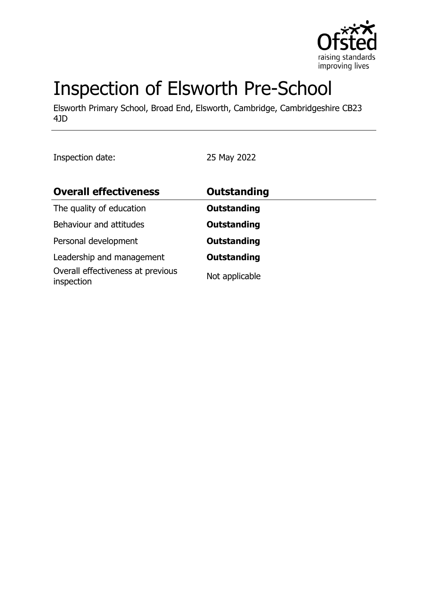

# Inspection of Elsworth Pre-School

Elsworth Primary School, Broad End, Elsworth, Cambridge, Cambridgeshire CB23 4JD

Inspection date: 25 May 2022

| <b>Overall effectiveness</b>                    | <b>Outstanding</b> |  |
|-------------------------------------------------|--------------------|--|
| The quality of education                        | <b>Outstanding</b> |  |
| Behaviour and attitudes                         | <b>Outstanding</b> |  |
| Personal development                            | <b>Outstanding</b> |  |
| Leadership and management                       | <b>Outstanding</b> |  |
| Overall effectiveness at previous<br>inspection | Not applicable     |  |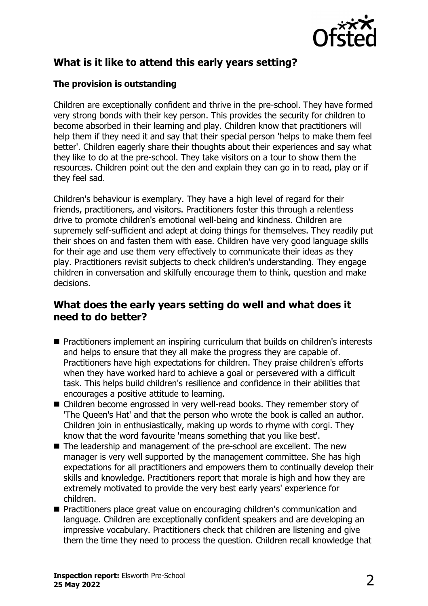

# **What is it like to attend this early years setting?**

#### **The provision is outstanding**

Children are exceptionally confident and thrive in the pre-school. They have formed very strong bonds with their key person. This provides the security for children to become absorbed in their learning and play. Children know that practitioners will help them if they need it and say that their special person 'helps to make them feel better'. Children eagerly share their thoughts about their experiences and say what they like to do at the pre-school. They take visitors on a tour to show them the resources. Children point out the den and explain they can go in to read, play or if they feel sad.

Children's behaviour is exemplary. They have a high level of regard for their friends, practitioners, and visitors. Practitioners foster this through a relentless drive to promote children's emotional well-being and kindness. Children are supremely self-sufficient and adept at doing things for themselves. They readily put their shoes on and fasten them with ease. Children have very good language skills for their age and use them very effectively to communicate their ideas as they play. Practitioners revisit subjects to check children's understanding. They engage children in conversation and skilfully encourage them to think, question and make decisions.

#### **What does the early years setting do well and what does it need to do better?**

- Practitioners implement an inspiring curriculum that builds on children's interests and helps to ensure that they all make the progress they are capable of. Practitioners have high expectations for children. They praise children's efforts when they have worked hard to achieve a goal or persevered with a difficult task. This helps build children's resilience and confidence in their abilities that encourages a positive attitude to learning.
- Children become engrossed in very well-read books. They remember story of 'The Queen's Hat' and that the person who wrote the book is called an author. Children join in enthusiastically, making up words to rhyme with corgi. They know that the word favourite 'means something that you like best'.
- The leadership and management of the pre-school are excellent. The new manager is very well supported by the management committee. She has high expectations for all practitioners and empowers them to continually develop their skills and knowledge. Practitioners report that morale is high and how they are extremely motivated to provide the very best early years' experience for children.
- Practitioners place great value on encouraging children's communication and language. Children are exceptionally confident speakers and are developing an impressive vocabulary. Practitioners check that children are listening and give them the time they need to process the question. Children recall knowledge that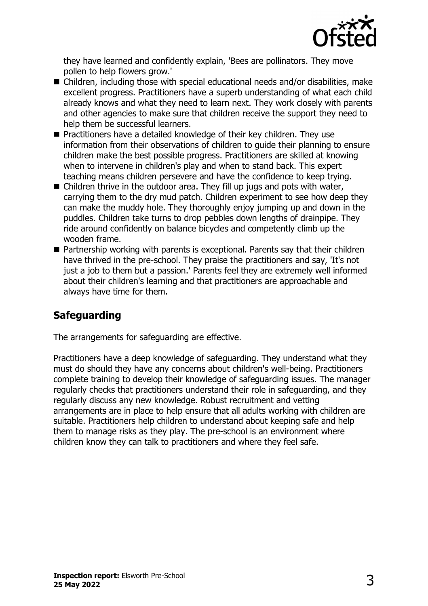

they have learned and confidently explain, 'Bees are pollinators. They move pollen to help flowers grow.'

- Children, including those with special educational needs and/or disabilities, make excellent progress. Practitioners have a superb understanding of what each child already knows and what they need to learn next. They work closely with parents and other agencies to make sure that children receive the support they need to help them be successful learners.
- Practitioners have a detailed knowledge of their key children. They use information from their observations of children to guide their planning to ensure children make the best possible progress. Practitioners are skilled at knowing when to intervene in children's play and when to stand back. This expert teaching means children persevere and have the confidence to keep trying.
- $\blacksquare$  Children thrive in the outdoor area. They fill up jugs and pots with water, carrying them to the dry mud patch. Children experiment to see how deep they can make the muddy hole. They thoroughly enjoy jumping up and down in the puddles. Children take turns to drop pebbles down lengths of drainpipe. They ride around confidently on balance bicycles and competently climb up the wooden frame.
- $\blacksquare$  Partnership working with parents is exceptional. Parents say that their children have thrived in the pre-school. They praise the practitioners and say, 'It's not just a job to them but a passion.' Parents feel they are extremely well informed about their children's learning and that practitioners are approachable and always have time for them.

# **Safeguarding**

The arrangements for safeguarding are effective.

Practitioners have a deep knowledge of safeguarding. They understand what they must do should they have any concerns about children's well-being. Practitioners complete training to develop their knowledge of safeguarding issues. The manager regularly checks that practitioners understand their role in safeguarding, and they regularly discuss any new knowledge. Robust recruitment and vetting arrangements are in place to help ensure that all adults working with children are suitable. Practitioners help children to understand about keeping safe and help them to manage risks as they play. The pre-school is an environment where children know they can talk to practitioners and where they feel safe.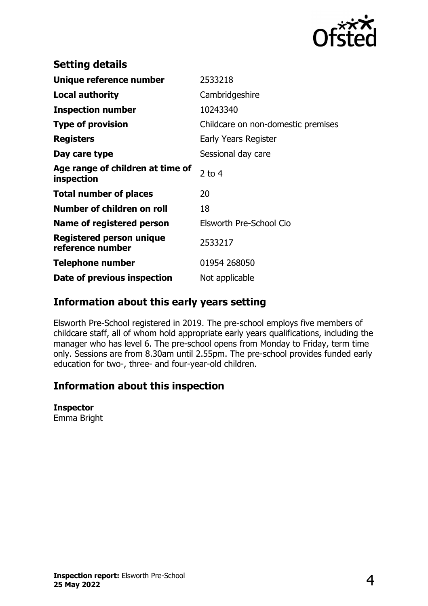

| <b>Setting details</b>                              |                                    |
|-----------------------------------------------------|------------------------------------|
| Unique reference number                             | 2533218                            |
| <b>Local authority</b>                              | Cambridgeshire                     |
| <b>Inspection number</b>                            | 10243340                           |
| <b>Type of provision</b>                            | Childcare on non-domestic premises |
| <b>Registers</b>                                    | Early Years Register               |
| Day care type                                       | Sessional day care                 |
| Age range of children at time of<br>inspection      | $2$ to 4                           |
| <b>Total number of places</b>                       | 20                                 |
| Number of children on roll                          | 18                                 |
| Name of registered person                           | Elsworth Pre-School Cio            |
| <b>Registered person unique</b><br>reference number | 2533217                            |
| <b>Telephone number</b>                             | 01954 268050                       |
| Date of previous inspection                         | Not applicable                     |

## **Information about this early years setting**

Elsworth Pre-School registered in 2019. The pre-school employs five members of childcare staff, all of whom hold appropriate early years qualifications, including the manager who has level 6. The pre-school opens from Monday to Friday, term time only. Sessions are from 8.30am until 2.55pm. The pre-school provides funded early education for two-, three- and four-year-old children.

### **Information about this inspection**

#### **Inspector**

Emma Bright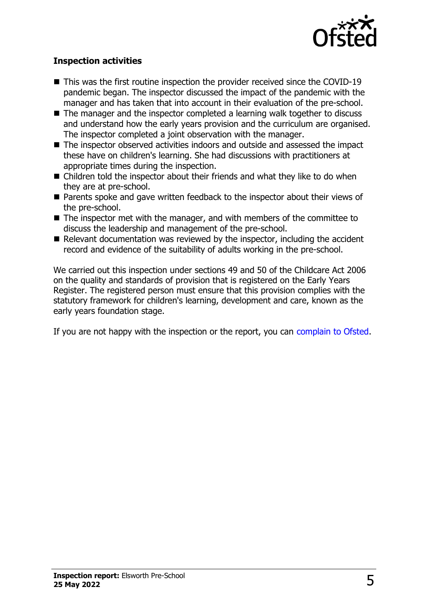

#### **Inspection activities**

- $\blacksquare$  This was the first routine inspection the provider received since the COVID-19 pandemic began. The inspector discussed the impact of the pandemic with the manager and has taken that into account in their evaluation of the pre-school.
- $\blacksquare$  The manager and the inspector completed a learning walk together to discuss and understand how the early years provision and the curriculum are organised. The inspector completed a joint observation with the manager.
- $\blacksquare$  The inspector observed activities indoors and outside and assessed the impact these have on children's learning. She had discussions with practitioners at appropriate times during the inspection.
- $\blacksquare$  Children told the inspector about their friends and what they like to do when they are at pre-school.
- $\blacksquare$  Parents spoke and gave written feedback to the inspector about their views of the pre-school.
- $\blacksquare$  The inspector met with the manager, and with members of the committee to discuss the leadership and management of the pre-school.
- $\blacksquare$  Relevant documentation was reviewed by the inspector, including the accident record and evidence of the suitability of adults working in the pre-school.

We carried out this inspection under sections 49 and 50 of the Childcare Act 2006 on the quality and standards of provision that is registered on the Early Years Register. The registered person must ensure that this provision complies with the statutory framework for children's learning, development and care, known as the early years foundation stage.

If you are not happy with the inspection or the report, you can [complain to Ofsted](http://www.gov.uk/complain-ofsted-report).